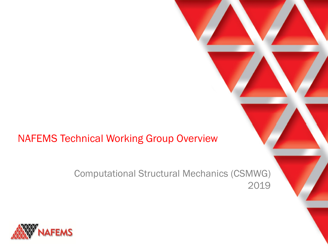## NAFEMS Technical Working Group Overview

Computational Structural Mechanics (CSMWG) 2019

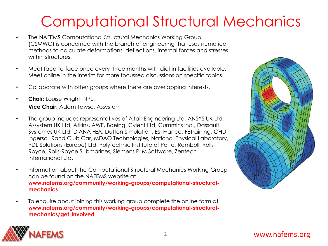# Computational Structural Mechanics

- The NAFEMS Computational Structural Mechanics Working Group (CSMWG) is concerned with the branch of engineering that uses numerical methods to calculate deformations, deflections, internal forces and stresses within structures.
- Meet face-to-face once every three months with dial-in facilities available. Meet online in the interim for more focussed discussions on specific topics.
- Collaborate with other groups where there are overlapping interests.
- **Chair:** Louise Wright, NPL **Vice Chair:** Adam Towse, Assystem
- The group includes representatives of Altair Engineering Ltd, ANSYS UK Ltd, Assystem UK Ltd, Atkins, AWE, Boeing, Cyient Ltd, Cummins Inc., Dassault Systemes UK Ltd, DIANA FEA, Dutton Simulation, ESI France, FETraining, GHD, Ingersoll Rand Club Car, MDAO Technologies, National Physical Laboratory, PDL Solutions (Europe) Ltd, Polytechnic Institute of Porto, Ramboll, Rolls-Royce, Rolls-Royce Submarines, Siemens PLM Software, Zentech International Ltd.
- Information about the Computational Structural Mechanics Working Group can be found on the NAFEMS website at **www.nafems.org/community/working-groups/computational-structuralmechanics**
- To enquire about joining this working group complete the online form at **www.nafems.org/community/working-groups/computational-structuralmechanics/get\_involved**



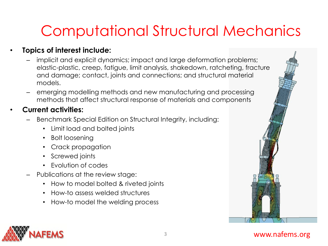# Computational Structural Mechanics

#### • **Topics of interest include:**

- implicit and explicit dynamics; impact and large deformation problems; elastic-plastic, creep, fatigue, limit analysis, shakedown, ratcheting, fracture and damage; contact, joints and connections; and structural material models.
- emerging modelling methods and new manufacturing and processing methods that affect structural response of materials and components

#### • **Current activities:**

- Benchmark Special Edition on Structural Integrity, including:
	- Limit load and bolted joints
	- Bolt loosening
	- Crack propagation
	- Screwed joints
	- Evolution of codes
- Publications at the review stage:
	- How to model bolted & riveted joints
	- How-to assess welded structures
	- How-to model the welding process

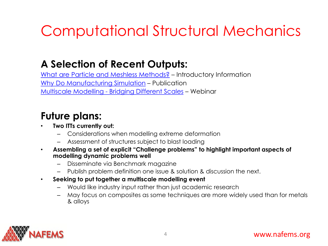# Computational Structural Mechanics

## **A Selection of Recent Outputs:**

[What are Particle and Meshless Methods?](https://www.nafems.org/publications/resource_center/wt07/) – Introductory Information [Why Do Manufacturing Simulation](https://www.nafems.org/publications/resource_center/ht46/) – Publication Multiscale Modelling - [Bridging Different Scales](https://www.nafems.org/publications/resource_center/web_mar_16_gbr/) – Webinar

### **Future plans:**

- **Two ITTs currently out:**
	- Considerations when modelling extreme deformation
	- Assessment of structures subject to blast loading
- **Assembling a set of explicit "Challenge problems" to highlight important aspects of modelling dynamic problems well**
	- Disseminate via Benchmark magazine
	- Publish problem definition one issue & solution & discussion the next.
- **Seeking to put together a multiscale modelling event**
	- Would like industry input rather than just academic research
	- May focus on composites as some techniques are more widely used than for metals & alloys